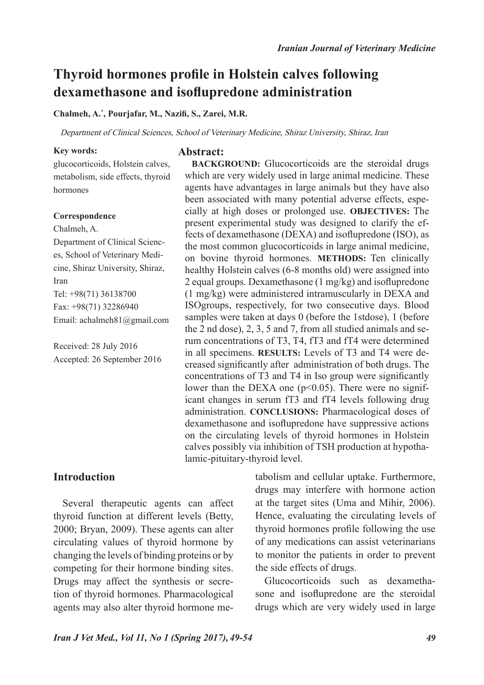# **Thyroid hormones profile in Holstein calves following dexamethasone and isoflupredone administration**

#### **Chalmeh, A.\* , Pourjafar, M., Nazifi, S., Zarei, M.R.**

Department of Clinical Sciences, School of Veterinary Medicine, Shiraz University, Shiraz, Iran

#### **Key words:**

### **Abstract:**

glucocorticoids, Holstein calves, metabolism, side effects, thyroid hormones

#### **Correspondence**

Chalmeh, A.

Department of Clinical Sciences, School of Veterinary Medicine, Shiraz University, Shiraz, Iran Tel: +98(71) 36138700 Fax: +98(71) 32286940 Email: achalmeh81@gmail.com

Received: 28 July 2016 Accepted: 26 September 2016

**BACKGROUND:** Glucocorticoids are the steroidal drugs which are very widely used in large animal medicine. These agents have advantages in large animals but they have also been associated with many potential adverse effects, especially at high doses or prolonged use. **OBJECTIVES:** The present experimental study was designed to clarify the effects of dexamethasone (DEXA) and isoflupredone (ISO), as the most common glucocorticoids in large animal medicine, on bovine thyroid hormones. **METHODS:** Ten clinically healthy Holstein calves (6-8 months old) were assigned into 2 equal groups. Dexamethasone (1 mg/kg) and isoflupredone (1 mg/kg) were administered intramuscularly in DEXA and ISOgroups, respectively, for two consecutive days. Blood samples were taken at days 0 (before the 1stdose), 1 (before the 2 nd dose), 2, 3, 5 and 7, from all studied animals and serum concentrations of T3, T4, fT3 and fT4 were determined in all specimens. **RESULTS:** Levels of T3 and T4 were decreased significantly after administration of both drugs. The concentrations of T3 and T4 in Iso group were significantly lower than the DEXA one  $(p<0.05)$ . There were no significant changes in serum fT3 and fT4 levels following drug administration. **CONCLUSIONS:** Pharmacological doses of dexamethasone and isoflupredone have suppressive actions on the circulating levels of thyroid hormones in Holstein calves possibly via inhibition of TSH production at hypothalamic-pituitary-thyroid level.

# **Introduction**

Several therapeutic agents can affect thyroid function at different levels (Betty, 2000; Bryan, 2009). These agents can alter circulating values of thyroid hormone by changing the levels of binding proteins or by competing for their hormone binding sites. Drugs may affect the synthesis or secretion of thyroid hormones. Pharmacological agents may also alter thyroid hormone metabolism and cellular uptake. Furthermore, drugs may interfere with hormone action at the target sites (Uma and Mihir, 2006). Hence, evaluating the circulating levels of thyroid hormones profile following the use of any medications can assist veterinarians to monitor the patients in order to prevent the side effects of drugs.

Glucocorticoids such as dexamethasone and isoflupredone are the steroidal drugs which are very widely used in large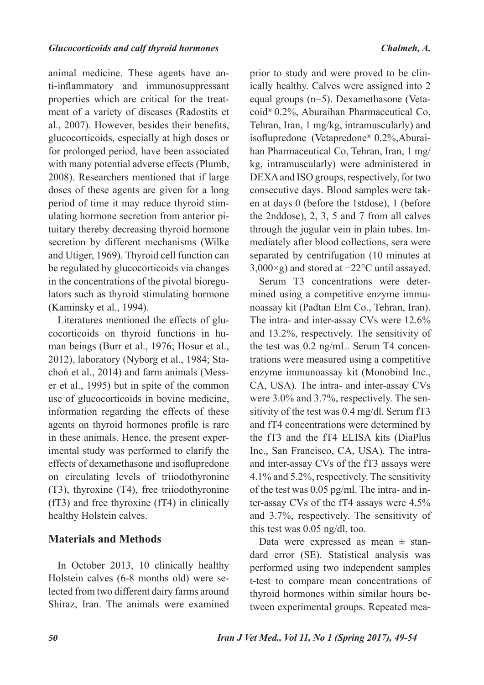animal medicine. These agents have anti-inflammatory and immunosuppressant properties which are critical for the treatment of a variety of diseases (Radostits et al., 2007). However, besides their benefits, glucocorticoids, especially at high doses or for prolonged period, have been associated with many potential adverse effects (Plumb, 2008). Researchers mentioned that if large doses of these agents are given for a long period of time it may reduce thyroid stimulating hormone secretion from anterior pituitary thereby decreasing thyroid hormone secretion by different mechanisms (Wilke and Utiger, 1969). Thyroid cell function can be regulated by glucocorticoids via changes in the concentrations of the pivotal bioregulators such as thyroid stimulating hormone (Kaminsky et al., 1994).

Literatures mentioned the effects of glucocorticoids on thyroid functions in human beings (Burr et al., 1976; Hosur et al., 2012), laboratory (Nyborg et al., 1984; Stachoń et al., 2014) and farm animals (Messer et al., 1995) but in spite of the common use of glucocorticoids in bovine medicine, information regarding the effects of these agents on thyroid hormones profile is rare in these animals. Hence, the present experimental study was performed to clarify the effects of dexamethasone and isoflupredone on circulating levels of triiodothyronine (T3), thyroxine (T4), free triiodothyronine (fT3) and free thyroxine (fT4) in clinically healthy Holstein calves.

## **Materials and Methods**

In October 2013, 10 clinically healthy Holstein calves (6-8 months old) were selected from two different dairy farms around Shiraz, Iran. The animals were examined

prior to study and were proved to be clinically healthy. Calves were assigned into 2 equal groups (n=5). Dexamethasone (Vetacoid® 0.2%, Aburaihan Pharmaceutical Co, Tehran, Iran, 1 mg/kg, intramuscularly) and isoflupredone (Vetapredone® 0.2%,Aburaihan Pharmaceutical Co, Tehran, Iran, 1 mg/ kg, intramuscularly) were administered in DEXA and ISO groups, respectively, for two consecutive days. Blood samples were taken at days 0 (before the 1stdose), 1 (before the 2nddose), 2, 3, 5 and 7 from all calves through the jugular vein in plain tubes. Immediately after blood collections, sera were separated by centrifugation (10 minutes at 3,000×g) and stored at −22°C until assayed.

Serum T3 concentrations were determined using a competitive enzyme immunoassay kit (Padtan Elm Co., Tehran, Iran). The intra- and inter-assay CVs were 12.6% and 13.2%, respectively. The sensitivity of the test was 0.2 ng/mL. Serum T4 concentrations were measured using a competitive enzyme immunoassay kit (Monobind Inc., CA, USA). The intra- and inter-assay CVs were 3.0% and 3.7%, respectively. The sensitivity of the test was 0.4 mg/dl. Serum fT3 and fT4 concentrations were determined by the fT3 and the fT4 ELISA kits (DiaPlus Inc., San Francisco, CA, USA). The intraand inter-assay CVs of the fT3 assays were 4.1% and 5.2%, respectively. The sensitivity of the test was 0.05 pg/ml. The intra- and inter-assay CVs of the fT4 assays were 4.5% and 3.7%, respectively. The sensitivity of this test was 0.05 ng/dl, too.

Data were expressed as mean  $\pm$  standard error (SE). Statistical analysis was performed using two independent samples t-test to compare mean concentrations of thyroid hormones within similar hours between experimental groups. Repeated mea-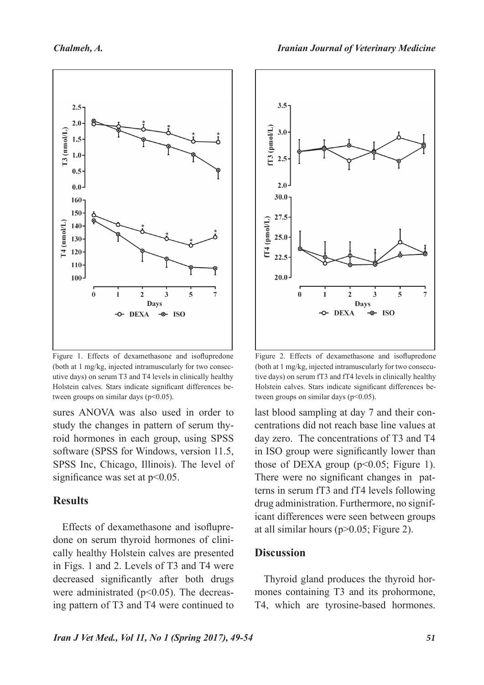

Figure 1. Effects of dexamethasone and isoflupredone (both at 1 mg/kg, injected intramuscularly for two consecutive days) on serum T3 and T4 levels in clinically healthy Holstein calves. Stars indicate significant differences between groups on similar days  $(p<0.05)$ .

sures ANOVA was also used in order to study the changes in pattern of serum thyroid hormones in each group, using SPSS software (SPSS for Windows, version 11.5, SPSS Inc, Chicago, Illinois). The level of significance was set at  $p<0.05$ .

## **Results**

Effects of dexamethasone and isoflupredone on serum thyroid hormones of clinically healthy Holstein calves are presented in Figs. 1 and 2. Levels of T3 and T4 were decreased significantly after both drugs were administrated  $(p<0.05)$ . The decreasing pattern of T3 and T4 were continued to



Figure 2. Effects of dexamethasone and isoflupredone (both at 1 mg/kg, injected intramuscularly for two consecutive days) on serum fT3 and fT4 levels in clinically healthy Holstein calves. Stars indicate significant differences between groups on similar days ( $p<0.05$ ).

last blood sampling at day 7 and their concentrations did not reach base line values at day zero. The concentrations of T3 and T4 in ISO group were significantly lower than those of DEXA group  $(p<0.05$ ; Figure 1). There were no significant changes in patterns in serum fT3 and fT4 levels following drug administration. Furthermore, no significant differences were seen between groups at all similar hours (p>0.05; Figure 2).

## **Discussion**

Thyroid gland produces the thyroid hormones containing T3 and its prohormone, T4, which are tyrosine-based hormones.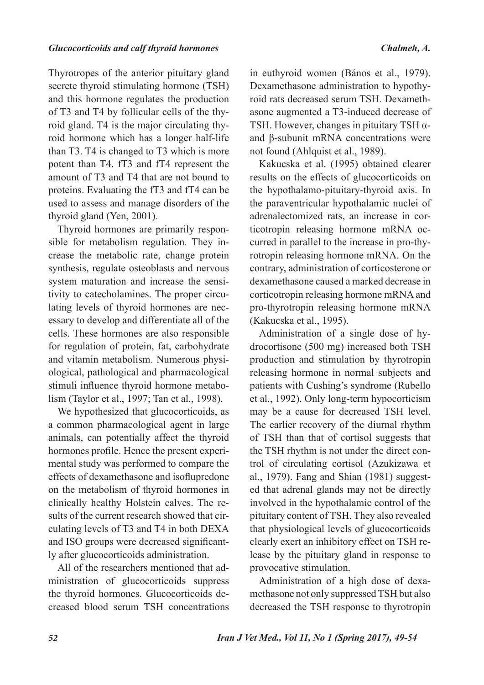#### *Glucocorticoids and calf thyroid hormones Chalmeh, A.*

Thyrotropes of the anterior pituitary gland secrete thyroid stimulating hormone (TSH) and this hormone regulates the production of T3 and T4 by follicular cells of the thyroid gland. T4 is the major circulating thyroid hormone which has a longer half-life than T3. T4 is changed to T3 which is more potent than T4. fT3 and fT4 represent the amount of T3 and T4 that are not bound to proteins. Evaluating the fT3 and fT4 can be used to assess and manage disorders of the thyroid gland (Yen, 2001).

Thyroid hormones are primarily responsible for metabolism regulation. They increase the metabolic rate, change protein synthesis, regulate osteoblasts and nervous system maturation and increase the sensitivity to catecholamines. The proper circulating levels of thyroid hormones are necessary to develop and differentiate all of the cells. These hormones are also responsible for regulation of protein, fat, carbohydrate and vitamin metabolism. Numerous physiological, pathological and pharmacological stimuli influence thyroid hormone metabolism (Taylor et al., 1997; Tan et al., 1998).

We hypothesized that glucocorticoids, as a common pharmacological agent in large animals, can potentially affect the thyroid hormones profile. Hence the present experimental study was performed to compare the effects of dexamethasone and isoflupredone on the metabolism of thyroid hormones in clinically healthy Holstein calves. The results of the current research showed that circulating levels of T3 and T4 in both DEXA and ISO groups were decreased significantly after glucocorticoids administration.

All of the researchers mentioned that administration of glucocorticoids suppress the thyroid hormones. Glucocorticoids decreased blood serum TSH concentrations

in euthyroid women (Bános et al., 1979). Dexamethasone administration to hypothyroid rats decreased serum TSH. Dexamethasone augmented a T3-induced decrease of TSH. However, changes in pituitary TSH αand β-subunit mRNA concentrations were not found (Ahlquist et al., 1989).

Kakucska et al. (1995) obtained clearer results on the effects of glucocorticoids on the hypothalamo-pituitary-thyroid axis. In the paraventricular hypothalamic nuclei of adrenalectomized rats, an increase in corticotropin releasing hormone mRNA occurred in parallel to the increase in pro-thyrotropin releasing hormone mRNA. On the contrary, administration of corticosterone or dexamethasone caused a marked decrease in corticotropin releasing hormone mRNA and pro-thyrotropin releasing hormone mRNA (Kakucska et al., 1995).

Administration of a single dose of hydrocortisone (500 mg) increased both TSH production and stimulation by thyrotropin releasing hormone in normal subjects and patients with Cushing's syndrome (Rubello et al., 1992). Only long-term hypocorticism may be a cause for decreased TSH level. The earlier recovery of the diurnal rhythm of TSH than that of cortisol suggests that the TSH rhythm is not under the direct control of circulating cortisol (Azukizawa et al., 1979). Fang and Shian (1981) suggested that adrenal glands may not be directly involved in the hypothalamic control of the pituitary content of TSH. They also revealed that physiological levels of glucocorticoids clearly exert an inhibitory effect on TSH release by the pituitary gland in response to provocative stimulation.

Administration of a high dose of dexamethasone not only suppressed TSH but also decreased the TSH response to thyrotropin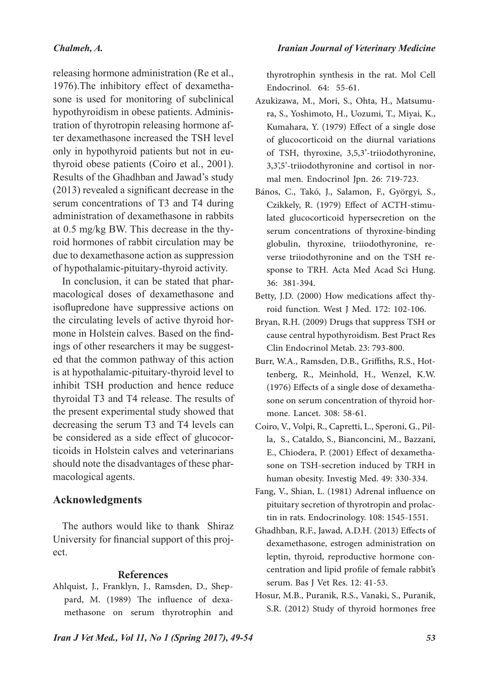# *Chalmeh, A.*

releasing hormone administration (Re et al., 1976).The inhibitory effect of dexamethasone is used for monitoring of subclinical hypothyroidism in obese patients. Administration of thyrotropin releasing hormone after dexamethasone increased the TSH level only in hypothyroid patients but not in euthyroid obese patients (Coiro et al., 2001). Results of the Ghadhban and Jawad's study (2013) revealed a significant decrease in the serum concentrations of T3 and T4 during administration of dexamethasone in rabbits at 0.5 mg/kg BW. This decrease in the thyroid hormones of rabbit circulation may be due to dexamethasone action as suppression of hypothalamic-pituitary-thyroid activity.

In conclusion, it can be stated that pharmacological doses of dexamethasone and isoflupredone have suppressive actions on the circulating levels of active thyroid hormone in Holstein calves. Based on the findings of other researchers it may be suggested that the common pathway of this action is at hypothalamic-pituitary-thyroid level to inhibit TSH production and hence reduce thyroidal T3 and T4 release. The results of the present experimental study showed that decreasing the serum T3 and T4 levels can be considered as a side effect of glucocorticoids in Holstein calves and veterinarians should note the disadvantages of these pharmacological agents.

# **Acknowledgments**

The authors would like to thank Shiraz University for financial support of this project.

## **References**

Ahlquist, J., Franklyn, J., Ramsden, D., Sheppard, M. (1989) The influence of dexamethasone on serum thyrotrophin and thyrotrophin synthesis in the rat. Mol Cell Endocrinol. 64: 55-61.

- Azukizawa, M., Mori, S., Ohta, H., Matsumura, S., Yoshimoto, H., Uozumi, T., Miyai, K., Kumahara, Y. (1979) Effect of a single dose of glucocorticoid on the diurnal variations of TSH, thyroxine, 3,5,3'-triiodothyronine, 3,3',5'-triiodothyronine and cortisol in normal men. Endocrinol Jpn. 26: 719-723.
- Bános, C., Takó, J., Salamon, F., Györgyi, S., Czikkely, R. (1979) Effect of ACTH-stimulated glucocorticoid hypersecretion on the serum concentrations of thyroxine-binding globulin, thyroxine, triiodothyronine, reverse triiodothyronine and on the TSH response to TRH. Acta Med Acad Sci Hung. 36: 381-394.
- Betty, J.D. (2000) How medications affect thyroid function. West J Med. 172: 102-106.
- Bryan, R.H. (2009) Drugs that suppress TSH or cause central hypothyroidism. Best Pract Res Clin Endocrinol Metab. 23: 793-800.
- Burr, W.A., Ramsden, D.B., Griffiths, R.S., Hottenberg, R., Meinhold, H., Wenzel, K.W. (1976) Effects of a single dose of dexamethasone on serum concentration of thyroid hormone. Lancet. 308: 58-61.
- Coiro, V., Volpi, R., Capretti, L., Speroni, G., Pilla, S., Cataldo, S., Bianconcini, M., Bazzani, E., Chiodera, P. (2001) Effect of dexamethasone on TSH-secretion induced by TRH in human obesity. Investig Med. 49: 330-334.
- Fang, V., Shian, L. (1981) Adrenal influence on pituitary secretion of thyrotropin and prolactin in rats. Endocrinology. 108: 1545-1551.
- Ghadhban, R.F., Jawad, A.D.H. (2013) Effects of dexamethasone, estrogen administration on leptin, thyroid, reproductive hormone concentration and lipid profile of female rabbit's serum. Bas J Vet Res. 12: 41-53.
- Hosur, M.B., Puranik, R.S., Vanaki, S., Puranik, S.R. (2012) Study of thyroid hormones free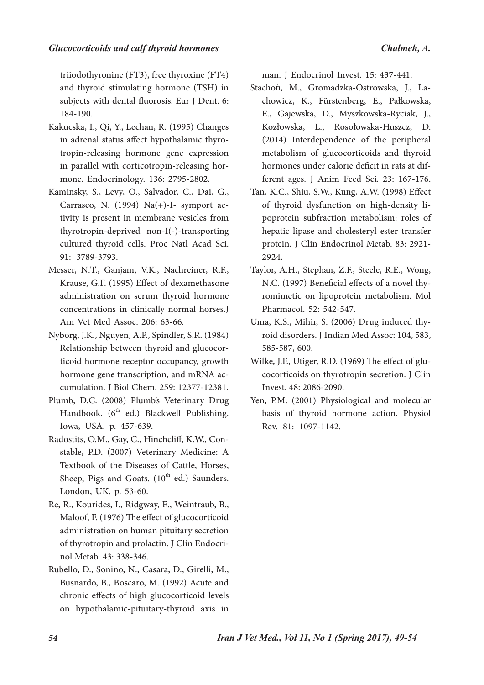triiodothyronine (FT3), free thyroxine (FT4) and thyroid stimulating hormone (TSH) in subjects with dental fluorosis. Eur J Dent. 6: 184-190.

- Kakucska, I., Qi, Y., Lechan, R. (1995) Changes in adrenal status affect hypothalamic thyrotropin-releasing hormone gene expression in parallel with corticotropin-releasing hormone. Endocrinology. 136: 2795-2802.
- Kaminsky, S., Levy, O., Salvador, C., Dai, G., Carrasco, N. (1994) Na(+)-I- symport activity is present in membrane vesicles from thyrotropin-deprived non-I(-)-transporting cultured thyroid cells. Proc Natl Acad Sci. 91: 3789-3793.
- Messer, N.T., Ganjam, V.K., Nachreiner, R.F., Krause, G.F. (1995) Effect of dexamethasone administration on serum thyroid hormone concentrations in clinically normal horses.J Am Vet Med Assoc. 206: 63-66.
- Nyborg, J.K., Nguyen, A.P., Spindler, S.R. (1984) Relationship between thyroid and glucocorticoid hormone receptor occupancy, growth hormone gene transcription, and mRNA accumulation. J Biol Chem. 259: 12377-12381.
- Plumb, D.C. (2008) Plumb's Veterinary Drug Handbook. (6<sup>th</sup> ed.) Blackwell Publishing. Iowa, USA. p. 457-639.
- Radostits, O.M., Gay, C., Hinchcliff, K.W., Constable, P.D. (2007) Veterinary Medicine: A Textbook of the Diseases of Cattle, Horses, Sheep, Pigs and Goats.  $(10<sup>th</sup>$  ed.) Saunders. London, UK. p. 53-60.
- Re, R., Kourides, I., Ridgway, E., Weintraub, B., Maloof, F. (1976) The effect of glucocorticoid administration on human pituitary secretion of thyrotropin and prolactin. J Clin Endocrinol Metab. 43: 338-346.
- Rubello, D., Sonino, N., Casara, D., Girelli, M., Busnardo, B., Boscaro, M. (1992) Acute and chronic effects of high glucocorticoid levels on hypothalamic-pituitary-thyroid axis in

man. J Endocrinol Invest. 15: 437-441.

- Stachoń, M., Gromadzka-Ostrowska, J., Lachowicz, K., Fürstenberg, E., Pałkowska, E., Gajewska, D., Myszkowska-Ryciak, J., Kozłowska, L., Rosołowska-Huszcz, D. (2014) Interdependence of the peripheral metabolism of glucocorticoids and thyroid hormones under calorie deficit in rats at different ages. J Anim Feed Sci. 23: 167-176.
- Tan, K.C., Shiu, S.W., Kung, A.W. (1998) Effect of thyroid dysfunction on high-density lipoprotein subfraction metabolism: roles of hepatic lipase and cholesteryl ester transfer protein. J Clin Endocrinol Metab. 83: 2921- 2924.
- Taylor, A.H., Stephan, Z.F., Steele, R.E., Wong, N.C. (1997) Beneficial effects of a novel thyromimetic on lipoprotein metabolism. Mol Pharmacol. 52: 542-547.
- Uma, K.S., Mihir, S. (2006) Drug induced thyroid disorders. J Indian Med Assoc: 104, 583, 585-587, 600.
- Wilke, J.F., Utiger, R.D. (1969) The effect of glucocorticoids on thyrotropin secretion. J Clin Invest. 48: 2086-2090.
- Yen, P.M. (2001) Physiological and molecular basis of thyroid hormone action. Physiol Rev. 81: 1097-1142.